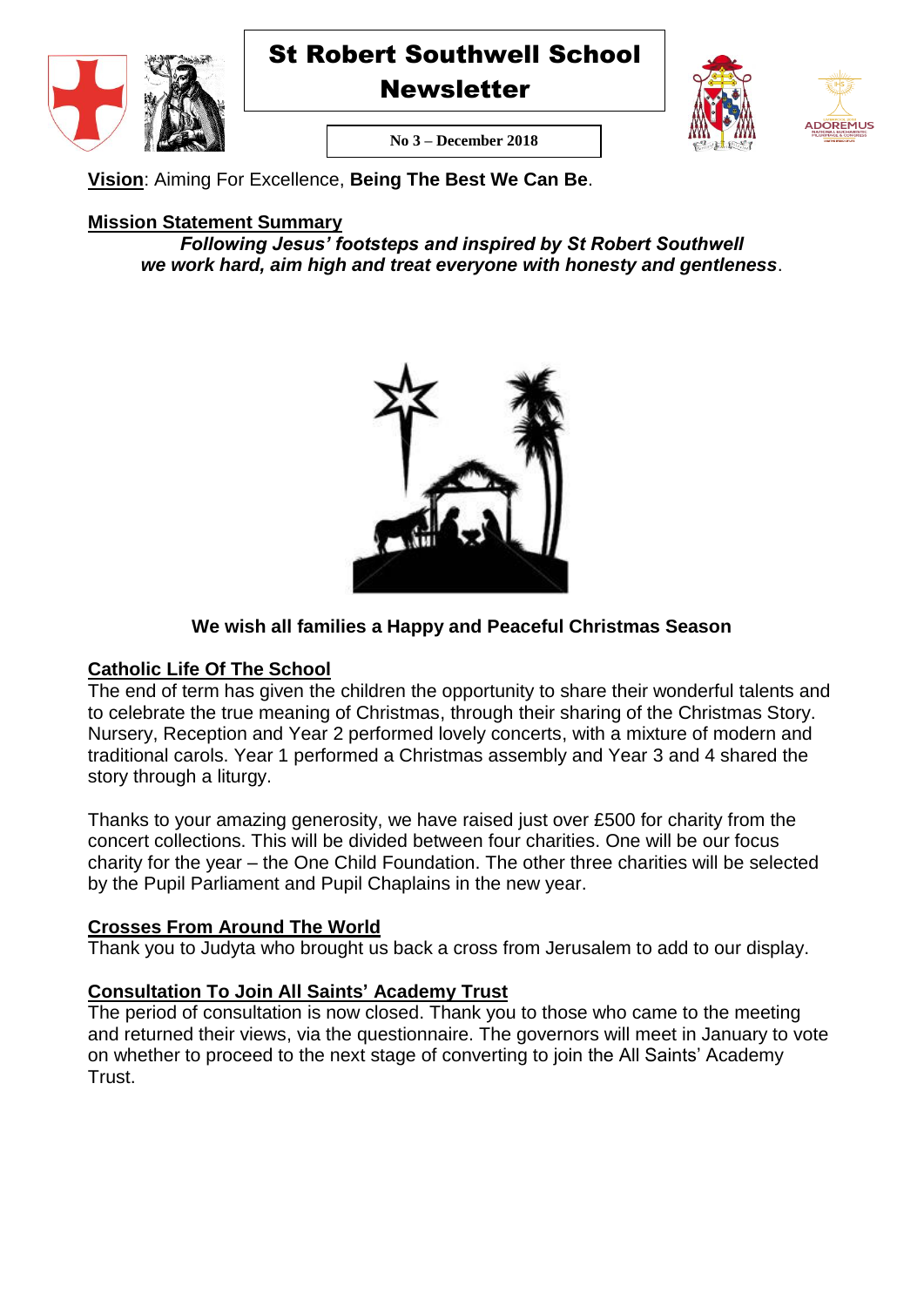

**Newsletter** 





**No 3 – December 2018**

**Vision**: Aiming For Excellence, **Being The Best We Can Be**.

# **Mission Statement Summary**

*Following Jesus' footsteps and inspired by St Robert Southwell we work hard, aim high and treat everyone with honesty and gentleness*.



# **We wish all families a Happy and Peaceful Christmas Season**

# **Catholic Life Of The School**

The end of term has given the children the opportunity to share their wonderful talents and to celebrate the true meaning of Christmas, through their sharing of the Christmas Story. Nursery, Reception and Year 2 performed lovely concerts, with a mixture of modern and traditional carols. Year 1 performed a Christmas assembly and Year 3 and 4 shared the story through a liturgy.

Thanks to your amazing generosity, we have raised just over £500 for charity from the concert collections. This will be divided between four charities. One will be our focus charity for the year – the One Child Foundation. The other three charities will be selected by the Pupil Parliament and Pupil Chaplains in the new year.

# **Crosses From Around The World**

Thank you to Judyta who brought us back a cross from Jerusalem to add to our display.

# **Consultation To Join All Saints' Academy Trust**

The period of consultation is now closed. Thank you to those who came to the meeting and returned their views, via the questionnaire. The governors will meet in January to vote on whether to proceed to the next stage of converting to join the All Saints' Academy Trust.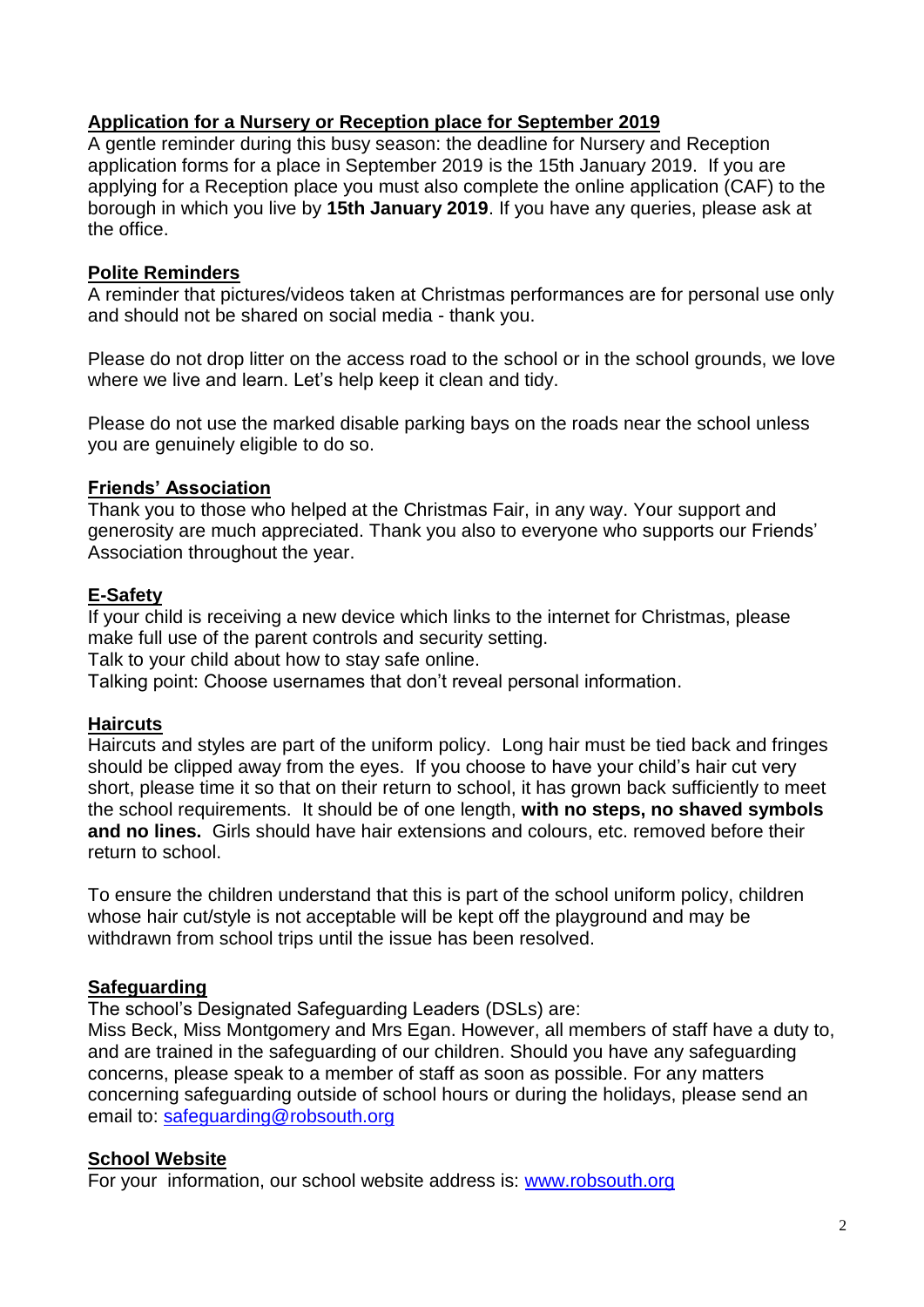# **Application for a Nursery or Reception place for September 2019**

A gentle reminder during this busy season: the deadline for Nursery and Reception application forms for a place in September 2019 is the 15th January 2019. If you are applying for a Reception place you must also complete the online application (CAF) to the borough in which you live by **15th January 2019**. If you have any queries, please ask at the office.

# **Polite Reminders**

A reminder that pictures/videos taken at Christmas performances are for personal use only and should not be shared on social media - thank you.

Please do not drop litter on the access road to the school or in the school grounds, we love where we live and learn. Let's help keep it clean and tidy.

Please do not use the marked disable parking bays on the roads near the school unless you are genuinely eligible to do so.

# **Friends' Association**

Thank you to those who helped at the Christmas Fair, in any way. Your support and generosity are much appreciated. Thank you also to everyone who supports our Friends' Association throughout the year.

# **E-Safety**

If your child is receiving a new device which links to the internet for Christmas, please make full use of the parent controls and security setting.

Talk to your child about how to stay safe online.

Talking point: Choose usernames that don't reveal personal information.

# **Haircuts**

Haircuts and styles are part of the uniform policy. Long hair must be tied back and fringes should be clipped away from the eyes. If you choose to have your child's hair cut very short, please time it so that on their return to school, it has grown back sufficiently to meet the school requirements. It should be of one length, **with no steps, no shaved symbols and no lines.** Girls should have hair extensions and colours, etc. removed before their return to school.

To ensure the children understand that this is part of the school uniform policy, children whose hair cut/style is not acceptable will be kept off the playground and may be withdrawn from school trips until the issue has been resolved.

# **Safeguarding**

The school's Designated Safeguarding Leaders (DSLs) are:

Miss Beck, Miss Montgomery and Mrs Egan. However, all members of staff have a duty to, and are trained in the safeguarding of our children. Should you have any safeguarding concerns, please speak to a member of staff as soon as possible. For any matters concerning safeguarding outside of school hours or during the holidays, please send an email to: [safeguarding@robsouth.org](mailto:safeguarding@robsouth.org)

# **School Website**

For your information, our school website address is: [www.robsouth.org](http://www.robsouth.org/)